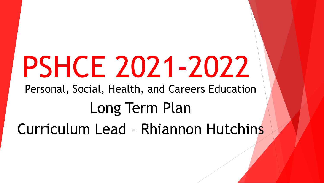## PSHCE 2021-2022

Personal, Social, Health, and Careers Education

## Long Term Plan Curriculum Lead – Rhiannon Hutchins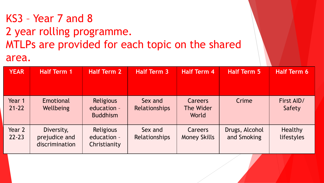## KS3 – Year 7 and 8 2 year rolling programme. MTLPs are provided for each topic on the shared area.

| <b>YEAR</b>         | <b>Half Term 1</b>                            | <b>Half Term 2</b>                                 | <b>Half Term 3</b>              | <b>Half Term 4</b>                    | <b>Half Term 5</b>            | <b>Half Term 6</b>           |
|---------------------|-----------------------------------------------|----------------------------------------------------|---------------------------------|---------------------------------------|-------------------------------|------------------------------|
| Year 1<br>$21 - 22$ | Emotional<br>Wellbeing                        | <b>Religious</b><br>education -<br><b>Buddhism</b> | Sex and<br><b>Relationships</b> | <b>Careers</b><br>The Wider<br>World  | Crime                         | First AID/<br>Safety         |
| Year 2<br>$22 - 23$ | Diversity,<br>prejudice and<br>discrimination | <b>Religious</b><br>education -<br>Christianity    | Sex and<br><b>Relationships</b> | <b>Careers</b><br><b>Money Skills</b> | Drugs, Alcohol<br>and Smoking | <b>Healthy</b><br>lifestyles |